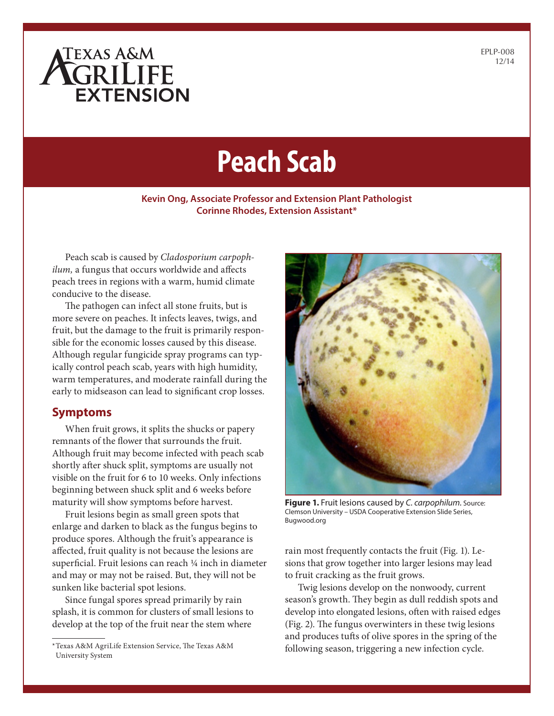# ATEXAS A&M **EXTENSION**

EPLP-008 12/14

# **Peach Scab**

#### **Kevin Ong, Associate Professor and Extension Plant Pathologist Corinne Rhodes, Extension Assistant\***

Peach scab is caused by *Cladosporium carpophilum,* a fungus that occurs worldwide and affects peach trees in regions with a warm, humid climate conducive to the disease.

The pathogen can infect all stone fruits, but is more severe on peaches. It infects leaves, twigs, and fruit, but the damage to the fruit is primarily responsible for the economic losses caused by this disease. Although regular fungicide spray programs can typically control peach scab, years with high humidity, warm temperatures, and moderate rainfall during the early to midseason can lead to significant crop losses.

#### **Symptoms**

When fruit grows, it splits the shucks or papery remnants of the flower that surrounds the fruit. Although fruit may become infected with peach scab shortly after shuck split, symptoms are usually not visible on the fruit for 6 to 10 weeks. Only infections beginning between shuck split and 6 weeks before maturity will show symptoms before harvest.

Fruit lesions begin as small green spots that enlarge and darken to black as the fungus begins to produce spores. Although the fruit's appearance is affected, fruit quality is not because the lesions are superficial. Fruit lesions can reach ¼ inch in diameter and may or may not be raised. But, they will not be sunken like bacterial spot lesions.

Since fungal spores spread primarily by rain splash, it is common for clusters of small lesions to develop at the top of the fruit near the stem where



**Figure 1.** Fruit lesions caused by *C. carpophilum.* Source: Clemson University – USDA Cooperative Extension Slide Series, Bugwood.org

rain most frequently contacts the fruit (Fig. 1). Lesions that grow together into larger lesions may lead to fruit cracking as the fruit grows.

Twig lesions develop on the nonwoody, current season's growth. They begin as dull reddish spots and develop into elongated lesions, often with raised edges (Fig. 2). The fungus overwinters in these twig lesions and produces tufts of olive spores in the spring of the following season, triggering a new infection cycle.

<sup>\*</sup>Texas A&M AgriLife Extension Service, The Texas A&M University System